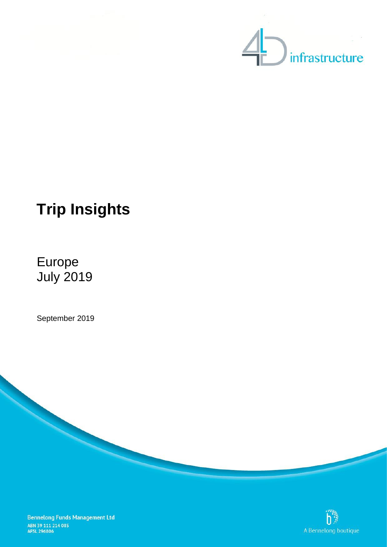



# **Trip Insights**

## Europe July 2019

September 2019



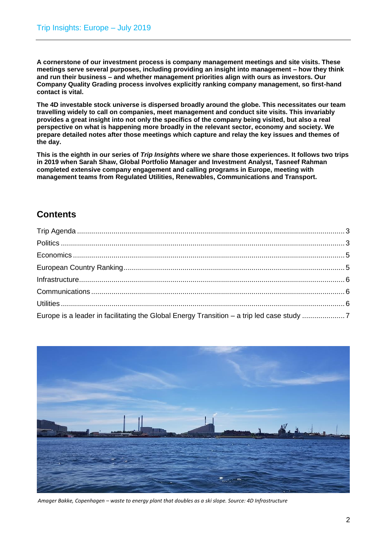**A cornerstone of our investment process is company management meetings and site visits. These meetings serve several purposes, including providing an insight into management – how they think and run their business – and whether management priorities align with ours as investors. Our Company Quality Grading process involves explicitly ranking company management, so first-hand contact is vital.** 

**The 4D investable stock universe is dispersed broadly around the globe. This necessitates our team travelling widely to call on companies, meet management and conduct site visits. This invariably provides a great insight into not only the specifics of the company being visited, but also a real perspective on what is happening more broadly in the relevant sector, economy and society. We prepare detailed notes after those meetings which capture and relay the key issues and themes of the day.**

**This is the eighth in our series of** *Trip Insights* **where we share those experiences. It follows two trips in 2019 when Sarah Shaw, Global Portfolio Manager and Investment Analyst, Tasneef Rahman completed extensive company engagement and calling programs in Europe, meeting with management teams from Regulated Utilities, Renewables, Communications and Transport.**

## **Contents**

| $Infrastructure\dots 2.25$                                                                |  |
|-------------------------------------------------------------------------------------------|--|
|                                                                                           |  |
|                                                                                           |  |
| Europe is a leader in facilitating the Global Energy Transition - a trip led case study 7 |  |



*Amager Bakke, Copenhagen – waste to energy plant that doubles as a ski slope. Source: 4D Infrastructure*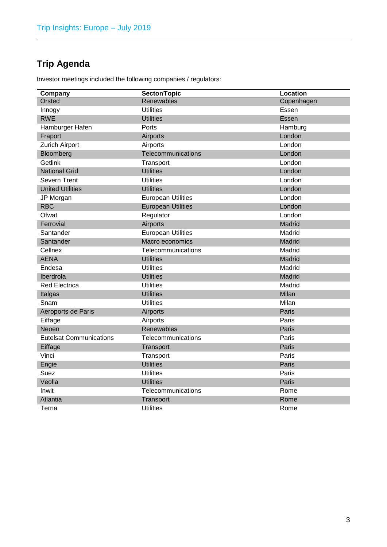## <span id="page-2-0"></span>**Trip Agenda**

Investor meetings included the following companies / regulators:

<span id="page-2-1"></span>

| Company                        | Sector/Topic              | Location   |
|--------------------------------|---------------------------|------------|
| Orsted                         | Renewables                | Copenhagen |
| Innogy                         | <b>Utilities</b>          | Essen      |
| <b>RWE</b>                     | <b>Utilities</b>          | Essen      |
| Hamburger Hafen                | Ports                     | Hamburg    |
| Fraport                        | Airports                  | London     |
| <b>Zurich Airport</b>          | Airports                  | London     |
| Bloomberg                      | Telecommunications        | London     |
| Getlink                        | Transport                 | London     |
| <b>National Grid</b>           | <b>Utilities</b>          | London     |
| Severn Trent                   | <b>Utilities</b>          | London     |
| <b>United Utilities</b>        | <b>Utilities</b>          | London     |
| JP Morgan                      | <b>European Utilities</b> | London     |
| <b>RBC</b>                     | <b>European Utilities</b> | London     |
| Ofwat                          | Regulator                 | London     |
| Ferrovial                      | Airports                  | Madrid     |
| Santander                      | <b>European Utilities</b> | Madrid     |
| Santander                      | Macro economics           | Madrid     |
| Cellnex                        | Telecommunications        | Madrid     |
| <b>AENA</b>                    | <b>Utilities</b>          | Madrid     |
| Endesa                         | <b>Utilities</b>          | Madrid     |
| Iberdrola                      | <b>Utilities</b>          | Madrid     |
| <b>Red Electrica</b>           | <b>Utilities</b>          | Madrid     |
| Italgas                        | <b>Utilities</b>          | Milan      |
| Snam                           | <b>Utilities</b>          | Milan      |
| Aeroports de Paris             | Airports                  | Paris      |
| Eiffage                        | Airports                  | Paris      |
| Neoen                          | Renewables                | Paris      |
| <b>Eutelsat Communications</b> | Telecommunications        | Paris      |
| Eiffage                        | Transport                 | Paris      |
| Vinci                          | Transport                 | Paris      |
| Engie                          | <b>Utilities</b>          | Paris      |
| Suez                           | <b>Utilities</b>          | Paris      |
| Veolia                         | <b>Utilities</b>          | Paris      |
| Inwit                          | Telecommunications        | Rome       |
| Atlantia                       | Transport                 | Rome       |
| Terna                          | Utilities                 | Rome       |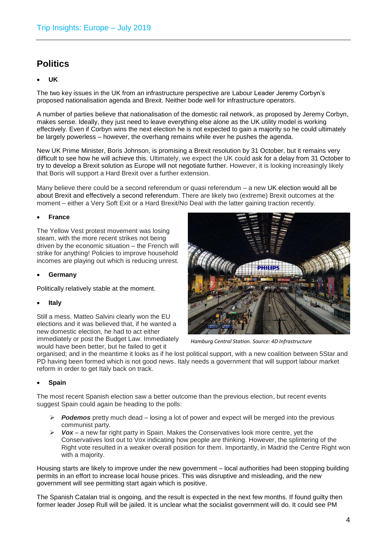## **Politics**

#### • **UK**

The two key issues in the UK from an infrastructure perspective are Labour Leader Jeremy Corbyn's proposed nationalisation agenda and Brexit. Neither bode well for infrastructure operators.

A number of parties believe that nationalisation of the domestic rail network, as proposed by Jeremy Corbyn, makes sense. Ideally, they just need to leave everything else alone as the UK utility model is working effectively. Even if Corbyn wins the next election he is not expected to gain a majority so he could ultimately be largely powerless – however, the overhang remains while ever he pushes the agenda.

New UK Prime Minister, Boris Johnson, is promising a Brexit resolution by 31 October, but it remains very difficult to see how he will achieve this. Ultimately, we expect the UK could ask for a delay from 31 October to try to develop a Brexit solution as Europe will not negotiate further. However, it is looking increasingly likely that Boris will support a Hard Brexit over a further extension.

Many believe there could be a second referendum or quasi referendum – a new UK election would all be about Brexit and effectively a second referendum. There are likely two (extreme) Brexit outcomes at the moment – either a Very Soft Exit or a Hard Brexit/No Deal with the latter gaining traction recently.

#### • **France**

The Yellow Vest protest movement was losing steam, with the more recent strikes not being driven by the economic situation – the French will strike for anything! Policies to improve household incomes are playing out which is reducing unrest.

#### • **Germany**

Politically relatively stable at the moment.

#### • **Italy**

Still a mess. Matteo Salvini clearly won the EU elections and it was believed that, if he wanted a new domestic election, he had to act either immediately or post the Budget Law. Immediately would have been better, but he failed to get it



*Hamburg Central Station. Source: 4D Infrastructure*

organised; and in the meantime it looks as if he lost political support, with a new coalition between 5Star and PD having been formed which is not good news. Italy needs a government that will support labour market reform in order to get Italy back on track.

#### • **Spain**

The most recent Spanish election saw a better outcome than the previous election, but recent events suggest Spain could again be heading to the polls:

- ➢ *Podemos* pretty much dead losing a lot of power and expect will be merged into the previous communist party.
- ➢ *Vox* a new far right party in Spain. Makes the Conservatives look more centre, yet the Conservatives lost out to Vox indicating how people are thinking. However, the splintering of the Right vote resulted in a weaker overall position for them. Importantly, in Madrid the Centre Right won with a majority.

Housing starts are likely to improve under the new government – local authorities had been stopping building permits in an effort to increase local house prices. This was disruptive and misleading, and the new government will see permitting start again which is positive.

The Spanish Catalan trial is ongoing, and the result is expected in the next few months. If found guilty then former leader Josep Rull will be jailed. It is unclear what the socialist government will do. It could see PM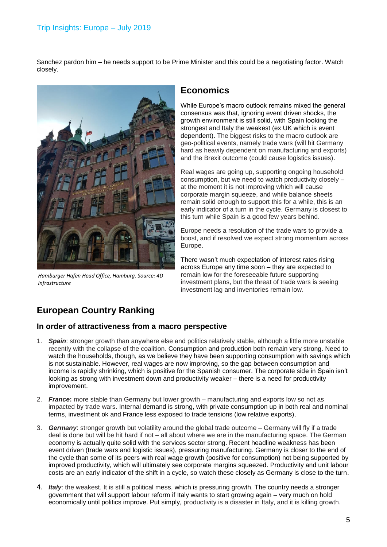Sanchez pardon him – he needs support to be Prime Minister and this could be a negotiating factor. Watch closely.



*Hamburger Hafen Head Office, Hamburg. Source: 4D Infrastructure*

#### <span id="page-4-0"></span>**Economics**

While Europe's macro outlook remains mixed the general consensus was that, ignoring event driven shocks, the growth environment is still solid, with Spain looking the strongest and Italy the weakest (ex UK which is event dependent). The biggest risks to the macro outlook are geo-political events, namely trade wars (will hit Germany hard as heavily dependent on manufacturing and exports) and the Brexit outcome (could cause logistics issues).

Real wages are going up, supporting ongoing household consumption, but we need to watch productivity closely – at the moment it is not improving which will cause corporate margin squeeze, and while balance sheets remain solid enough to support this for a while, this is an early indicator of a turn in the cycle. Germany is closest to this turn while Spain is a good few years behind.

Europe needs a resolution of the trade wars to provide a boost, and if resolved we expect strong momentum across Europe.

There wasn't much expectation of interest rates rising across Europe any time soon – they are expected to remain low for the foreseeable future supporting investment plans, but the threat of trade wars is seeing investment lag and inventories remain low.

## <span id="page-4-1"></span>**European Country Ranking**

#### **In order of attractiveness from a macro perspective**

- 1. *Spain*: stronger growth than anywhere else and politics relatively stable, although a little more unstable recently with the collapse of the coalition. Consumption and production both remain very strong. Need to watch the households, though, as we believe they have been supporting consumption with savings which is not sustainable. However, real wages are now improving, so the gap between consumption and income is rapidly shrinking, which is positive for the Spanish consumer. The corporate side in Spain isn't looking as strong with investment down and productivity weaker – there is a need for productivity improvement.
- 2. *France***:** more stable than Germany but lower growth manufacturing and exports low so not as impacted by trade wars. Internal demand is strong, with private consumption up in both real and nominal terms, investment ok and France less exposed to trade tensions (low relative exports).
- 3. *Germany*: stronger growth but volatility around the global trade outcome Germany will fly if a trade deal is done but will be hit hard if not – all about where we are in the manufacturing space. The German economy is actually quite solid with the services sector strong. Recent headline weakness has been event driven (trade wars and logistic issues), pressuring manufacturing. Germany is closer to the end of the cycle than some of its peers with real wage growth (positive for consumption) not being supported by improved productivity, which will ultimately see corporate margins squeezed. Productivity and unit labour costs are an early indicator of the shift in a cycle, so watch these closely as Germany is close to the turn.
- 4. *Italy*: the weakest. It is still a political mess, which is pressuring growth. The country needs a stronger government that will support labour reform if Italy wants to start growing again – very much on hold economically until politics improve. Put simply, productivity is a disaster in Italy, and it is killing growth.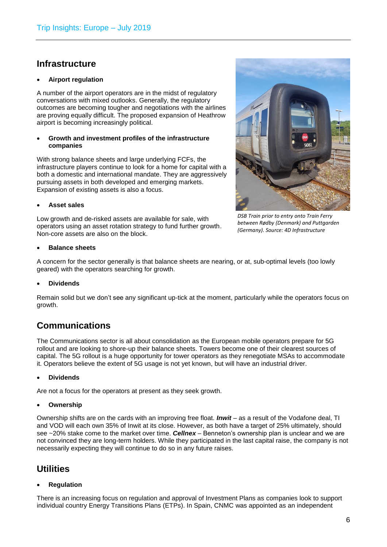## <span id="page-5-0"></span>**Infrastructure**

#### • **Airport regulation**

A number of the airport operators are in the midst of regulatory conversations with mixed outlooks. Generally, the regulatory outcomes are becoming tougher and negotiations with the airlines are proving equally difficult. The proposed expansion of Heathrow airport is becoming increasingly political.

#### • **Growth and investment profiles of the infrastructure companies**

With strong balance sheets and large underlying FCFs, the infrastructure players continue to look for a home for capital with a both a domestic and international mandate. They are aggressively pursuing assets in both developed and emerging markets. Expansion of existing assets is also a focus.

#### • **Asset sales**

Low growth and de-risked assets are available for sale, with operators using an asset rotation strategy to fund further growth. Non-core assets are also on the block.

#### • **Balance sheets**

A concern for the sector generally is that balance sheets are nearing, or at, sub-optimal levels (too lowly geared) with the operators searching for growth.

#### • **Dividends**

Remain solid but we don't see any significant up-tick at the moment, particularly while the operators focus on growth.

#### <span id="page-5-1"></span>**Communications**

The Communications sector is all about consolidation as the European mobile operators prepare for 5G rollout and are looking to shore-up their balance sheets. Towers become one of their clearest sources of capital. The 5G rollout is a huge opportunity for tower operators as they renegotiate MSAs to accommodate it. Operators believe the extent of 5G usage is not yet known, but will have an industrial driver.

#### • **Dividends**

Are not a focus for the operators at present as they seek growth.

#### • **Ownership**

Ownership shifts are on the cards with an improving free float. *Inwit* – as a result of the Vodafone deal, TI and VOD will each own 35% of Inwit at its close. However, as both have a target of 25% ultimately, should see ~20% stake come to the market over time. *Cellnex* – Benneton's ownership plan is unclear and we are not convinced they are long-term holders. While they participated in the last capital raise, the company is not necessarily expecting they will continue to do so in any future raises.

## <span id="page-5-2"></span>**Utilities**

#### • **Regulation**

There is an increasing focus on regulation and approval of Investment Plans as companies look to support individual country Energy Transitions Plans (ETPs). In Spain, CNMC was appointed as an independent



*DSB Train prior to entry onto Train Ferry between Rødby (Denmark) and Puttgarden (Germany). Source: 4D Infrastructure*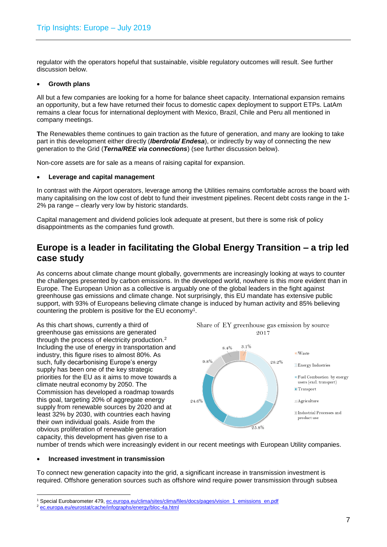regulator with the operators hopeful that sustainable, visible regulatory outcomes will result. See further discussion below.

#### • **Growth plans**

All but a few companies are looking for a home for balance sheet capacity. International expansion remains an opportunity, but a few have returned their focus to domestic capex deployment to support ETPs. LatAm remains a clear focus for international deployment with Mexico, Brazil, Chile and Peru all mentioned in company meetings.

**T**he Renewables theme continues to gain traction as the future of generation, and many are looking to take part in this development either directly (*Iberdrola/ Endesa*), or indirectly by way of connecting the new generation to the Grid (*Terna/REE via connections*) (see further discussion below).

Non-core assets are for sale as a means of raising capital for expansion.

#### • **Leverage and capital management**

In contrast with the Airport operators, leverage among the Utilities remains comfortable across the board with many capitalising on the low cost of debt to fund their investment pipelines. Recent debt costs range in the 1- 2% pa range – clearly very low by historic standards.

Capital management and dividend policies look adequate at present, but there is some risk of policy disappointments as the companies fund growth.

### <span id="page-6-0"></span>**Europe is a leader in facilitating the Global Energy Transition – a trip led case study**

As concerns about climate change mount globally, governments are increasingly looking at ways to counter the challenges presented by carbon emissions. In the developed world, nowhere is this more evident than in Europe. The European Union as a collective is arguably one of the global leaders in the fight against greenhouse gas emissions and climate change. Not surprisingly, this EU mandate has extensive public support, with 93% of Europeans believing climate change is induced by human activity and 85% believing countering the problem is positive for the EU economy<sup>1</sup>.

As this chart shows, currently a third of greenhouse gas emissions are generated through the process of electricity production.<sup>2</sup> Including the use of energy in transportation and industry, this figure rises to almost 80%. As such, fully decarbonising Europe's energy supply has been one of the key strategic priorities for the EU as it aims to move towards a climate neutral economy by 2050. The Commission has developed a roadmap towards this goal, targeting 20% of aggregate energy supply from renewable sources by 2020 and at least 32% by 2030, with countries each having their own individual goals. Aside from the obvious proliferation of renewable generation capacity, this development has given rise to a



Share of EY greenhouse gas emission by source  $9017$ 

number of trends which were increasingly evident in our recent meetings with European Utility companies.

#### • **Increased investment in transmission**

To connect new generation capacity into the grid, a significant increase in transmission investment is required. Offshore generation sources such as offshore wind require power transmission through subsea

<sup>1</sup> <sup>1</sup> Special Eurobarometer 479[, ec.europa.eu/clima/sites/clima/files/docs/pages/vision\\_1\\_emissions\\_en.pdf](file:///C:/Users/greg.goodsell/AppData/Local/Microsoft/Windows/INetCache/Content.Outlook/RFUPWYBJ/ec.europa.eu/clima/sites/clima/files/docs/pages/vision_1_emissions_en.pdf)

<sup>2</sup> [ec.europa.eu/eurostat/cache/infographs/energy/bloc-4a.html](file:///C:/Users/greg.goodsell/AppData/Local/Microsoft/Windows/INetCache/Content.Outlook/RFUPWYBJ/ec.europa.eu/eurostat/cache/infographs/energy/bloc-4a.html)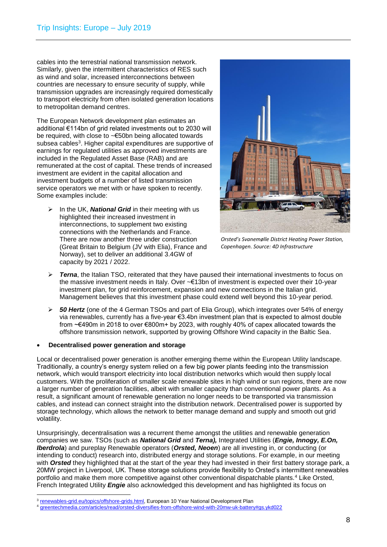cables into the terrestrial national transmission network. Similarly, given the intermittent characteristics of RES such as wind and solar, increased interconnections between countries are necessary to ensure security of supply, while transmission upgrades are increasingly required domestically to transport electricity from often isolated generation locations to metropolitan demand centres.

The European Network development plan estimates an additional €114bn of grid related investments out to 2030 will be required, with close to ~€50bn being allocated towards subsea cables<sup>3</sup>. Higher capital expenditures are supportive of earnings for regulated utilities as approved investments are included in the Regulated Asset Base (RAB) and are remunerated at the cost of capital. These trends of increased investment are evident in the capital allocation and investment budgets of a number of listed transmission service operators we met with or have spoken to recently. Some examples include:

➢ In the UK, *National Grid* in their meeting with us highlighted their increased investment in interconnections, to supplement two existing connections with the Netherlands and France. There are now another three under construction (Great Britain to Belgium (JV with Elia), France and Norway), set to deliver an additional 3.4GW of capacity by 2021 / 2022.



*Orsted's Svanemølle District Heating Power Station, Copenhagen. Source: 4D Infrastructure*

- ➢ *Terna*, the Italian TSO, reiterated that they have paused their international investments to focus on the massive investment needs in Italy. Over ~€13bn of investment is expected over their 10-year investment plan, for grid reinforcement, expansion and new connections in the Italian grid. Management believes that this investment phase could extend well beyond this 10-year period.
- ➢ *50 Hertz* (one of the 4 German TSOs and part of Elia Group), which integrates over 54% of energy via renewables, currently has a five-year €3.4bn investment plan that is expected to almost double from ~€490m in 2018 to over €800m+ by 2023, with roughly 40% of capex allocated towards the offshore transmission network, supported by growing Offshore Wind capacity in the Baltic Sea.

#### • **Decentralised power generation and storage**

Local or decentralised power generation is another emerging theme within the European Utility landscape. Traditionally, a country's energy system relied on a few big power plants feeding into the transmission network, which would transport electricity into local distribution networks which would then supply local customers. With the proliferation of smaller scale renewable sites in high wind or sun regions, there are now a larger number of generation facilities, albeit with smaller capacity than conventional power plants. As a result, a significant amount of renewable generation no longer needs to be transported via transmission cables, and instead can connect straight into the distribution network. Decentralised power is supported by storage technology, which allows the network to better manage demand and supply and smooth out grid volatility.

Unsurprisingly, decentralisation was a recurrent theme amongst the utilities and renewable generation companies we saw. TSOs (such as *National Grid* and *Terna),* Integrated Utilities (*Engie, Innogy, E.On, Iberdrola*) and pureplay Renewable operators (*Orsted, Neoen*) are all investing in, or conducting (or intending to conduct) research into, distributed energy and storage solutions. For example, in our meeting with *Orsted* they highlighted that at the start of the year they had invested in their first battery storage park, a 20MW project in Liverpool, UK. These storage solutions provide flexibility to Orsted's intermittent renewables portfolio and make them more competitive against other conventional dispatchable plants.<sup>4</sup> Like Orsted, French Integrated Utility *Engie* also acknowledged this development and has highlighted its focus on

<sup>1</sup> <sup>3</sup> [renewables-grid.eu/topics/offshore-grids.html,](file:///C:/Users/greg.goodsell/AppData/Local/Microsoft/Windows/INetCache/Content.Outlook/RFUPWYBJ/renewables-grid.eu/topics/offshore-grids.html) European 10 Year National Development Plan

<sup>4</sup> [greentechmedia.com/articles/read/orsted-diversifies-from-offshore-wind-with-20mw-uk-battery#gs.ykd022](file://///BFM-MEL-FS01/BFM-Melbourne$/Marketing/4D/Trip%20Insights/1909/greentechmedia.com/articles/read/orsted-diversifies-from-offshore-wind-with-20mw-uk-battery%23gs.ykd022)